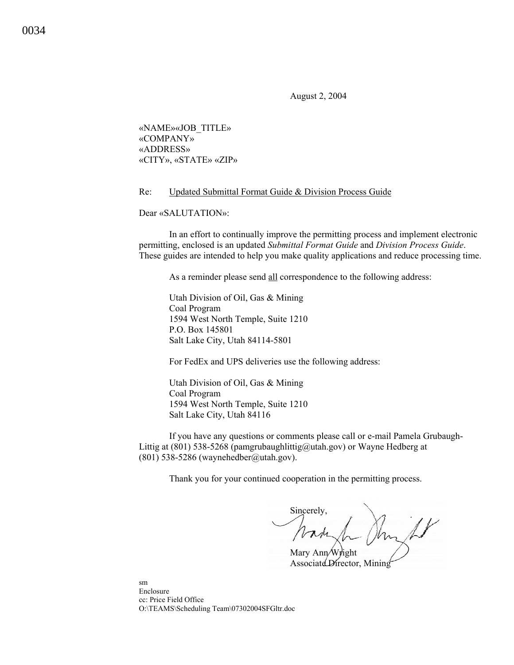August 2, 2004

«NAME»«JOB\_TITLE» «COMPANY» «ADDRESS» «CITY», «STATE» «ZIP»

## Re: Updated Submittal Format Guide & Division Process Guide

Dear «SALUTATION»:

In an effort to continually improve the permitting process and implement electronic permitting, enclosed is an updated *Submittal Format Guide* and *Division Process Guide*. These guides are intended to help you make quality applications and reduce processing time.

As a reminder please send all correspondence to the following address:

 Utah Division of Oil, Gas & Mining Coal Program 1594 West North Temple, Suite 1210 P.O. Box 145801 Salt Lake City, Utah 84114-5801

For FedEx and UPS deliveries use the following address:

Utah Division of Oil, Gas & Mining Coal Program 1594 West North Temple, Suite 1210 Salt Lake City, Utah 84116

If you have any questions or comments please call or e-mail Pamela Grubaugh-Littig at (801) 538-5268 (pamgrubaughlittig@utah.gov) or Wayne Hedberg at (801) 538-5286 (waynehedber@utah.gov).

Thank you for your continued cooperation in the permitting process.

Sincerely,

Mary Ann/Wright AssociateDirector, Mining

sm Enclosure cc: Price Field Office O:\TEAMS\Scheduling Team\07302004SFGltr.doc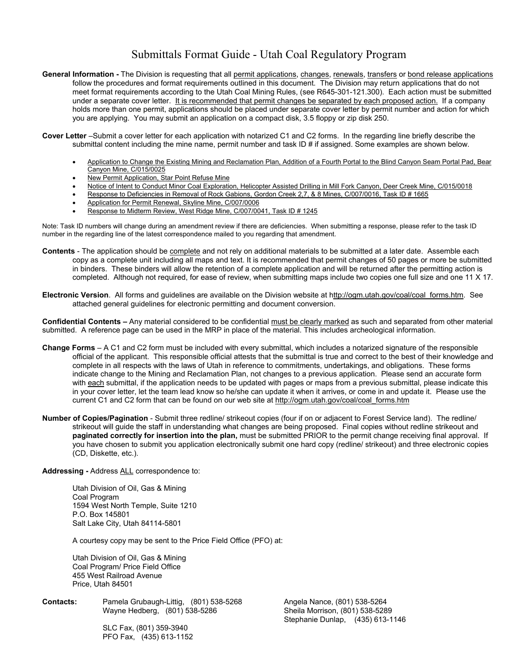## Submittals Format Guide - Utah Coal Regulatory Program

- General Information The Division is requesting that all permit applications, changes, renewals, transfers or bond release applications follow the procedures and format requirements outlined in this document. The Division may return applications that do not meet format requirements according to the Utah Coal Mining Rules, (see R645-301-121.300). Each action must be submitted under a separate cover letter. It is recommended that permit changes be separated by each proposed action. If a company holds more than one permit, applications should be placed under separate cover letter by permit number and action for which you are applying. You may submit an application on a compact disk, 3.5 floppy or zip disk 250.
- **Cover Letter** –Submit a cover letter for each application with notarized C1 and C2 forms. In the regarding line briefly describe the submittal content including the mine name, permit number and task ID # if assigned. Some examples are shown below.
	- Application to Change the Existing Mining and Reclamation Plan, Addition of a Fourth Portal to the Blind Canyon Seam Portal Pad, Bear Canyon Mine, C/015/0025
	- New Permit Application, Star Point Refuse Mine
	- Notice of Intent to Conduct Minor Coal Exploration, Helicopter Assisted Drilling in Mill Fork Canyon, Deer Creek Mine, C/015/0018
	- Response to Deficiencies in Removal of Rock Gabions, Gordon Creek 2,7, & 8 Mines, C/007/0016, Task ID # 1665
	- Application for Permit Renewal, Skyline Mine, C/007/0006
	- Response to Midterm Review, West Ridge Mine, C/007/0041, Task ID # 1245

Note: Task ID numbers will change during an amendment review if there are deficiencies. When submitting a response, please refer to the task ID number in the regarding line of the latest correspondence mailed to you regarding that amendment.

- **Contents** The application should be complete and not rely on additional materials to be submitted at a later date. Assemble each copy as a complete unit including all maps and text. It is recommended that permit changes of 50 pages or more be submitted in binders. These binders will allow the retention of a complete application and will be returned after the permitting action is completed. Although not required, for ease of review, when submitting maps include two copies one full size and one 11 X 17.
- **Electronic Version**. All forms and guidelines are available on the Division website at http://ogm.utah.gov/coal/coal\_forms.htm. See attached general guidelines for electronic permitting and document conversion.

**Confidential Contents –** Any material considered to be confidential must be clearly marked as such and separated from other material submitted. A reference page can be used in the MRP in place of the material. This includes archeological information.

- **Change Forms** A C1 and C2 form must be included with every submittal, which includes a notarized signature of the responsible official of the applicant. This responsible official attests that the submittal is true and correct to the best of their knowledge and complete in all respects with the laws of Utah in reference to commitments, undertakings, and obligations. These forms indicate change to the Mining and Reclamation Plan, not changes to a previous application. Please send an accurate form with each submittal, if the application needs to be updated with pages or maps from a previous submittal, please indicate this in your cover letter, let the team lead know so he/she can update it when it arrives, or come in and update it. Please use the current C1 and C2 form that can be found on our web site at http://ogm.utah.gov/coal/coal\_forms.htm
- **Number of Copies/Pagination** Submit three redline/ strikeout copies (four if on or adjacent to Forest Service land). The redline/ strikeout will guide the staff in understanding what changes are being proposed. Final copies without redline strikeout and **paginated correctly for insertion into the plan,** must be submitted PRIOR to the permit change receiving final approval. If you have chosen to submit you application electronically submit one hard copy (redline/ strikeout) and three electronic copies (CD, Diskette, etc.).

**Addressing -** Address ALL correspondence to:

 Utah Division of Oil, Gas & Mining Coal Program 1594 West North Temple, Suite 1210 P.O. Box 145801 Salt Lake City, Utah 84114-5801

A courtesy copy may be sent to the Price Field Office (PFO) at:

 Utah Division of Oil, Gas & Mining Coal Program/ Price Field Office 455 West Railroad Avenue Price, Utah 84501

**Contacts:** Pamela Grubaugh-Littig, (801) 538-5268 Angela Nance, (801) 538-5264 Wayne Hedberg, (801) 538-5286 Sheila Morrison, (801) 538-5289

Stephanie Dunlap, (435) 613-1146

 SLC Fax, (801) 359-3940 PFO Fax, (435) 613-1152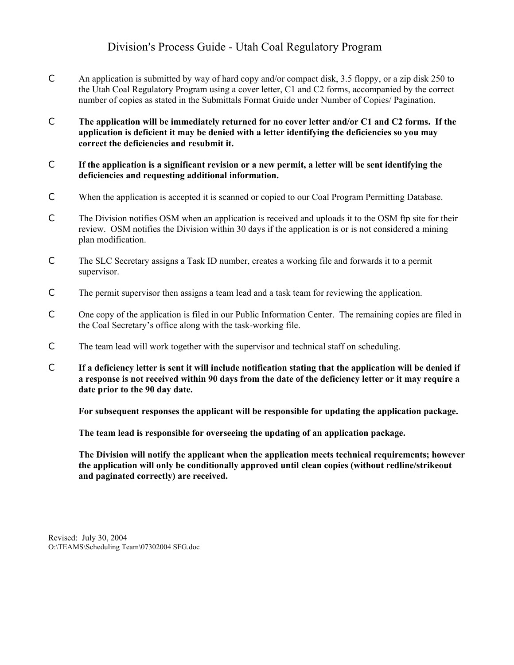## Division's Process Guide - Utah Coal Regulatory Program

- C An application is submitted by way of hard copy and/or compact disk, 3.5 floppy, or a zip disk 250 to the Utah Coal Regulatory Program using a cover letter, C1 and C2 forms, accompanied by the correct number of copies as stated in the Submittals Format Guide under Number of Copies/ Pagination.
- C **The application will be immediately returned for no cover letter and/or C1 and C2 forms. If the application is deficient it may be denied with a letter identifying the deficiencies so you may correct the deficiencies and resubmit it.**
- C **If the application is a significant revision or a new permit, a letter will be sent identifying the deficiencies and requesting additional information.**
- C When the application is accepted it is scanned or copied to our Coal Program Permitting Database.
- C The Division notifies OSM when an application is received and uploads it to the OSM ftp site for their review. OSM notifies the Division within 30 days if the application is or is not considered a mining plan modification.
- C The SLC Secretary assigns a Task ID number, creates a working file and forwards it to a permit supervisor.
- C The permit supervisor then assigns a team lead and a task team for reviewing the application.
- C One copy of the application is filed in our Public Information Center. The remaining copies are filed in the Coal Secretary's office along with the task-working file.
- C The team lead will work together with the supervisor and technical staff on scheduling.
- C **If a deficiency letter is sent it will include notification stating that the application will be denied if a response is not received within 90 days from the date of the deficiency letter or it may require a date prior to the 90 day date.**

**For subsequent responses the applicant will be responsible for updating the application package.** 

**The team lead is responsible for overseeing the updating of an application package.** 

**The Division will notify the applicant when the application meets technical requirements; however the application will only be conditionally approved until clean copies (without redline/strikeout and paginated correctly) are received.** 

Revised: July 30, 2004 O:\TEAMS\Scheduling Team\07302004 SFG.doc